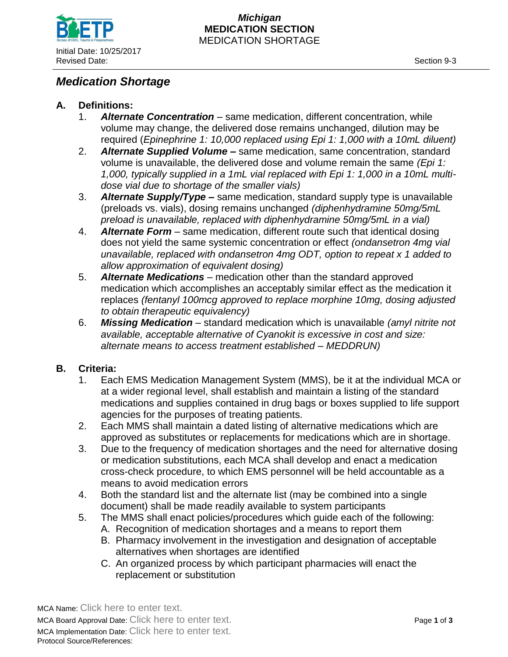

#### *Michigan* **MEDICATION SECTION** MEDICATION SHORTAGE

# *Medication Shortage*

## **A. Definitions:**

- 1. *Alternate Concentration*  same medication, different concentration, while volume may change, the delivered dose remains unchanged, dilution may be required (*Epinephrine 1: 10,000 replaced using Epi 1: 1,000 with a 10mL diluent)*
- 2. *Alternate Supplied Volume* **–** same medication, same concentration, standard volume is unavailable, the delivered dose and volume remain the same *(Epi 1: 1,000, typically supplied in a 1mL vial replaced with Epi 1: 1,000 in a 10mL multidose vial due to shortage of the smaller vials)*
- 3. *Alternate Supply/Type* **–** same medication, standard supply type is unavailable (preloads vs. vials), dosing remains unchanged *(diphenhydramine 50mg/5mL preload is unavailable, replaced with diphenhydramine 50mg/5mL in a vial)*
- 4. *Alternate Form* same medication, different route such that identical dosing does not yield the same systemic concentration or effect *(ondansetron 4mg vial unavailable, replaced with ondansetron 4mg ODT, option to repeat x 1 added to allow approximation of equivalent dosing)*
- 5. *Alternate Medications* medication other than the standard approved medication which accomplishes an acceptably similar effect as the medication it replaces *(fentanyl 100mcg approved to replace morphine 10mg, dosing adjusted to obtain therapeutic equivalency)*
- 6. *Missing Medication* standard medication which is unavailable *(amyl nitrite not available, acceptable alternative of Cyanokit is excessive in cost and size: alternate means to access treatment established – MEDDRUN)*

### **B. Criteria:**

- 1. Each EMS Medication Management System (MMS), be it at the individual MCA or at a wider regional level, shall establish and maintain a listing of the standard medications and supplies contained in drug bags or boxes supplied to life support agencies for the purposes of treating patients.
- 2. Each MMS shall maintain a dated listing of alternative medications which are approved as substitutes or replacements for medications which are in shortage.
- 3. Due to the frequency of medication shortages and the need for alternative dosing or medication substitutions, each MCA shall develop and enact a medication cross-check procedure, to which EMS personnel will be held accountable as a means to avoid medication errors
- 4. Both the standard list and the alternate list (may be combined into a single document) shall be made readily available to system participants
- 5. The MMS shall enact policies/procedures which guide each of the following:
	- A. Recognition of medication shortages and a means to report them
		- B. Pharmacy involvement in the investigation and designation of acceptable alternatives when shortages are identified
		- C. An organized process by which participant pharmacies will enact the replacement or substitution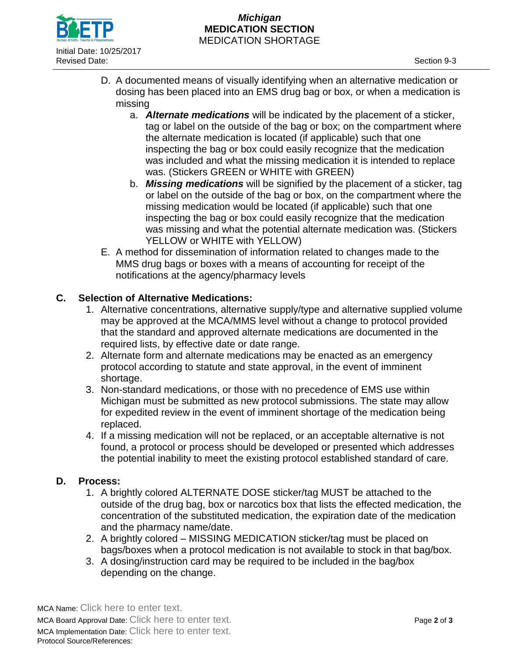

#### *Michigan* **MEDICATION SECTION** MEDICATION SHORTAGE

- D. A documented means of visually identifying when an alternative medication or dosing has been placed into an EMS drug bag or box, or when a medication is missing
	- a. *Alternate medications* will be indicated by the placement of a sticker, tag or label on the outside of the bag or box; on the compartment where the alternate medication is located (if applicable) such that one inspecting the bag or box could easily recognize that the medication was included and what the missing medication it is intended to replace was. (Stickers GREEN or WHITE with GREEN)
	- b. *Missing medications* will be signified by the placement of a sticker, tag or label on the outside of the bag or box, on the compartment where the missing medication would be located (if applicable) such that one inspecting the bag or box could easily recognize that the medication was missing and what the potential alternate medication was. (Stickers YELLOW or WHITE with YELLOW)
- E. A method for dissemination of information related to changes made to the MMS drug bags or boxes with a means of accounting for receipt of the notifications at the agency/pharmacy levels

## **C. Selection of Alternative Medications:**

- 1. Alternative concentrations, alternative supply/type and alternative supplied volume may be approved at the MCA/MMS level without a change to protocol provided that the standard and approved alternate medications are documented in the required lists, by effective date or date range.
- 2. Alternate form and alternate medications may be enacted as an emergency protocol according to statute and state approval, in the event of imminent shortage.
- 3. Non-standard medications, or those with no precedence of EMS use within Michigan must be submitted as new protocol submissions. The state may allow for expedited review in the event of imminent shortage of the medication being replaced.
- 4. If a missing medication will not be replaced, or an acceptable alternative is not found, a protocol or process should be developed or presented which addresses the potential inability to meet the existing protocol established standard of care.

## **D. Process:**

- 1. A brightly colored ALTERNATE DOSE sticker/tag MUST be attached to the outside of the drug bag, box or narcotics box that lists the effected medication, the concentration of the substituted medication, the expiration date of the medication and the pharmacy name/date.
- 2. A brightly colored MISSING MEDICATION sticker/tag must be placed on bags/boxes when a protocol medication is not available to stock in that bag/box.
- 3. A dosing/instruction card may be required to be included in the bag/box depending on the change.

MCA Name: Click here to enter text. MCA Board Approval Date: Click here to enter text. Page **2** of **3** MCA Implementation Date: Click here to enter text. Protocol Source/References: